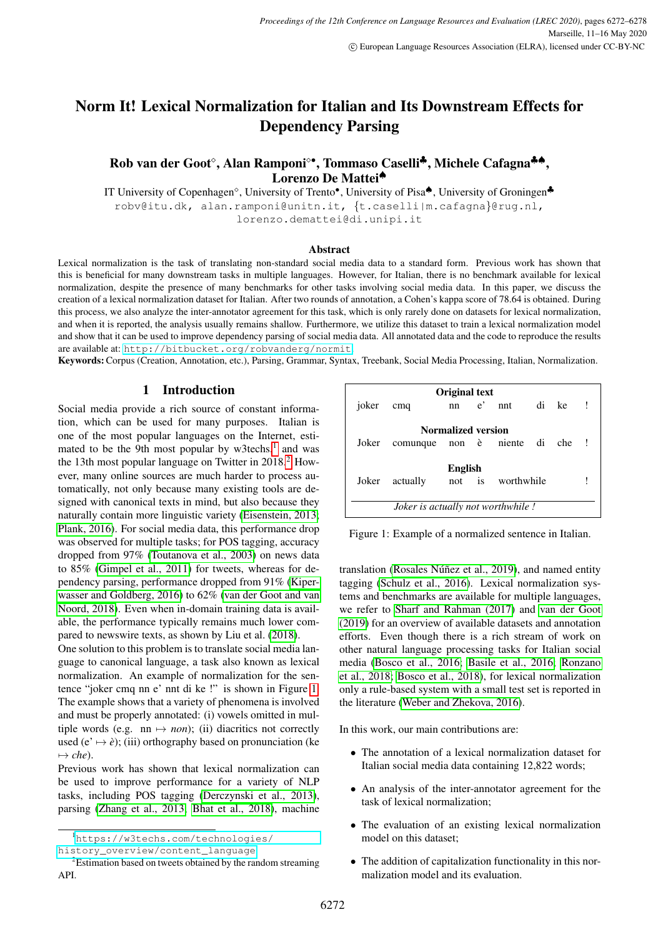# Norm It! Lexical Normalization for Italian and Its Downstream Effects for Dependency Parsing

# Rob van der Goot°, Alan Ramponi°•, Tommaso Caselli<sup>‡</sup>, Michele Cafagna<sup>‡↑</sup>, Lorenzo De Mattei<sup>◆</sup>

IT University of Copenhagen<sup>◇</sup>, University of Trento<sup>●</sup>, University of Pisa<sup>▲</sup>, University of Groningen<sup>↓</sup> robv@itu.dk, alan.ramponi@unitn.it, {t.caselli|m.cafagna}@rug.nl, lorenzo.demattei@di.unipi.it

#### Abstract

Lexical normalization is the task of translating non-standard social media data to a standard form. Previous work has shown that this is beneficial for many downstream tasks in multiple languages. However, for Italian, there is no benchmark available for lexical normalization, despite the presence of many benchmarks for other tasks involving social media data. In this paper, we discuss the creation of a lexical normalization dataset for Italian. After two rounds of annotation, a Cohen's kappa score of 78.64 is obtained. During this process, we also analyze the inter-annotator agreement for this task, which is only rarely done on datasets for lexical normalization, and when it is reported, the analysis usually remains shallow. Furthermore, we utilize this dataset to train a lexical normalization model and show that it can be used to improve dependency parsing of social media data. All annotated data and the code to reproduce the results are available at: <http://bitbucket.org/robvanderg/normit>.

Keywords:Corpus (Creation, Annotation, etc.), Parsing, Grammar, Syntax, Treebank, Social Media Processing, Italian, Normalization.

#### 1 Introduction

Social media provide a rich source of constant information, which can be used for many purposes. Italian is one of the most popular languages on the Internet, estimated to be the 9th most popular by w3techs, $<sup>1</sup>$  $<sup>1</sup>$  $<sup>1</sup>$  and was</sup> the 13th most popular language on Twitter in  $2018<sup>2</sup>$  $2018<sup>2</sup>$  However, many online sources are much harder to process automatically, not only because many existing tools are designed with canonical texts in mind, but also because they naturally contain more linguistic variety [\(Eisenstein, 2013;](#page-5-0) [Plank, 2016\)](#page-5-1). For social media data, this performance drop was observed for multiple tasks; for POS tagging, accuracy dropped from 97% [\(Toutanova et al., 2003\)](#page-6-0) on news data to 85% [\(Gimpel et al., 2011\)](#page-5-2) for tweets, whereas for dependency parsing, performance dropped from 91% [\(Kiper](#page-5-3)[wasser and Goldberg, 2016\)](#page-5-3) to 62% [\(van der Goot and van](#page-6-1) [Noord, 2018\)](#page-6-1). Even when in-domain training data is available, the performance typically remains much lower compared to newswire texts, as shown by Liu et al. [\(2018\)](#page-5-4).

One solution to this problem is to translate social media language to canonical language, a task also known as lexical normalization. An example of normalization for the sentence "joker cmq nn e' nnt di ke !" is shown in Figure [1.](#page-0-2) The example shows that a variety of phenomena is involved and must be properly annotated: (i) vowels omitted in multiple words (e.g.  $nn \mapsto non$ ); (ii) diacritics not correctly used  $(e' \mapsto e)$ ; (iii) orthography based on pronunciation (ke  $\mapsto$  *che*).

Previous work has shown that lexical normalization can be used to improve performance for a variety of NLP tasks, including POS tagging [\(Derczynski et al., 2013\)](#page-5-5), parsing [\(Zhang et al., 2013;](#page-6-2) [Bhat et al., 2018\)](#page-5-6), machine

| Original text                            |                                |                           |  |                   |  |  |
|------------------------------------------|--------------------------------|---------------------------|--|-------------------|--|--|
| joker                                    | cmq                            |                           |  | nn e' nnt di ke ! |  |  |
|                                          |                                |                           |  |                   |  |  |
|                                          |                                | <b>Normalized version</b> |  |                   |  |  |
| Joker                                    | comunque non è niente di che ! |                           |  |                   |  |  |
|                                          |                                |                           |  |                   |  |  |
|                                          |                                | English                   |  |                   |  |  |
| Joker                                    | actually                       |                           |  | not is worthwhile |  |  |
|                                          |                                |                           |  |                   |  |  |
| <i>Joker is actually not worthwhile!</i> |                                |                           |  |                   |  |  |

<span id="page-0-2"></span>Figure 1: Example of a normalized sentence in Italian.

translation (Rosales Núñez et al., 2019), and named entity tagging [\(Schulz et al., 2016\)](#page-6-4). Lexical normalization systems and benchmarks are available for multiple languages, we refer to [Sharf and Rahman \(2017\)](#page-6-5) and [van der Goot](#page-6-6) [\(2019\)](#page-6-6) for an overview of available datasets and annotation efforts. Even though there is a rich stream of work on other natural language processing tasks for Italian social media [\(Bosco et al., 2016;](#page-5-7) [Basile et al., 2016;](#page-5-8) [Ronzano](#page-6-7) [et al., 2018;](#page-6-7) [Bosco et al., 2018\)](#page-5-9), for lexical normalization only a rule-based system with a small test set is reported in the literature [\(Weber and Zhekova, 2016\)](#page-6-8).

In this work, our main contributions are:

- The annotation of a lexical normalization dataset for Italian social media data containing 12,822 words;
- An analysis of the inter-annotator agreement for the task of lexical normalization;
- The evaluation of an existing lexical normalization model on this dataset;
- The addition of capitalization functionality in this normalization model and its evaluation.

<span id="page-0-0"></span><sup>1</sup>[https://w3techs.com/technologies/](https://w3techs.com/technologies/history_overview/content_language) [history\\_overview/content\\_language](https://w3techs.com/technologies/history_overview/content_language)

<span id="page-0-1"></span><sup>&</sup>lt;sup>2</sup>Estimation based on tweets obtained by the random streaming API.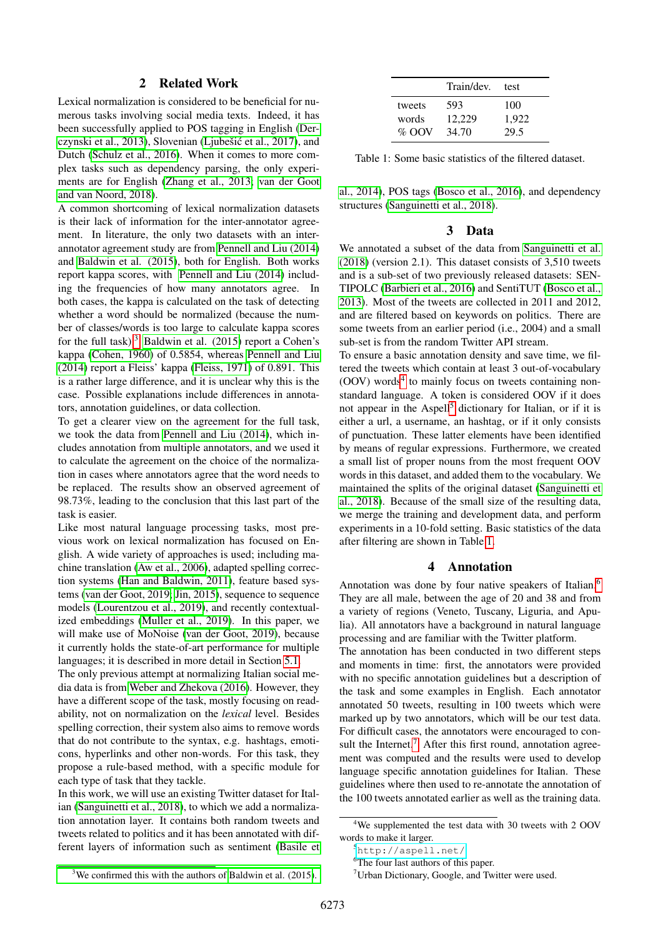### 2 Related Work

Lexical normalization is considered to be beneficial for numerous tasks involving social media texts. Indeed, it has been successfully applied to POS tagging in English [\(Der](#page-5-5)[czynski et al., 2013\)](#page-5-5), Slovenian (Ljubešić et al., 2017), and Dutch [\(Schulz et al., 2016\)](#page-6-4). When it comes to more complex tasks such as dependency parsing, the only experiments are for English [\(Zhang et al., 2013;](#page-6-2) [van der Goot](#page-6-1) [and van Noord, 2018\)](#page-6-1).

A common shortcoming of lexical normalization datasets is their lack of information for the inter-annotator agreement. In literature, the only two datasets with an interannotator agreement study are from [Pennell and Liu \(2014\)](#page-5-11) and [Baldwin et al. \(2015\)](#page-4-0), both for English. Both works report kappa scores, with [Pennell and Liu \(2014\)](#page-5-11) including the frequencies of how many annotators agree. In both cases, the kappa is calculated on the task of detecting whether a word should be normalized (because the number of classes/words is too large to calculate kappa scores for the full task). $3$  [Baldwin et al. \(2015\)](#page-4-0) report a Cohen's kappa [\(Cohen, 1960\)](#page-5-12) of 0.5854, whereas [Pennell and Liu](#page-5-11) [\(2014\)](#page-5-11) report a Fleiss' kappa [\(Fleiss, 1971\)](#page-5-13) of 0.891. This is a rather large difference, and it is unclear why this is the case. Possible explanations include differences in annotators, annotation guidelines, or data collection.

To get a clearer view on the agreement for the full task, we took the data from [Pennell and Liu \(2014\)](#page-5-11), which includes annotation from multiple annotators, and we used it to calculate the agreement on the choice of the normalization in cases where annotators agree that the word needs to be replaced. The results show an observed agreement of 98.73%, leading to the conclusion that this last part of the task is easier.

Like most natural language processing tasks, most previous work on lexical normalization has focused on English. A wide variety of approaches is used; including machine translation [\(Aw et al., 2006\)](#page-4-1), adapted spelling correction systems [\(Han and Baldwin, 2011\)](#page-5-14), feature based systems [\(van der Goot, 2019;](#page-6-6) [Jin, 2015\)](#page-5-15), sequence to sequence models [\(Lourentzou et al., 2019\)](#page-5-16), and recently contextualized embeddings [\(Muller et al., 2019\)](#page-5-17). In this paper, we will make use of MoNoise [\(van der Goot, 2019\)](#page-6-6), because it currently holds the state-of-art performance for multiple languages; it is described in more detail in Section [5.1.](#page-3-0)

The only previous attempt at normalizing Italian social media data is from [Weber and Zhekova \(2016\)](#page-6-8). However, they have a different scope of the task, mostly focusing on readability, not on normalization on the *lexical* level. Besides spelling correction, their system also aims to remove words that do not contribute to the syntax, e.g. hashtags, emoticons, hyperlinks and other non-words. For this task, they propose a rule-based method, with a specific module for each type of task that they tackle.

<span id="page-1-0"></span>In this work, we will use an existing Twitter dataset for Italian [\(Sanguinetti et al., 2018\)](#page-6-9), to which we add a normalization annotation layer. It contains both random tweets and tweets related to politics and it has been annotated with different layers of information such as sentiment [\(Basile et](#page-5-18)

|         | Train/dev. | test  |
|---------|------------|-------|
| tweets  | 593        | 100   |
| words   | 12.229     | 1,922 |
| $%$ OOV | 34.70      | 29.5  |

<span id="page-1-3"></span>Table 1: Some basic statistics of the filtered dataset.

[al., 2014\)](#page-5-18), POS tags [\(Bosco et al., 2016\)](#page-5-7), and dependency structures [\(Sanguinetti et al., 2018\)](#page-6-9).

#### 3 Data

We annotated a subset of the data from [Sanguinetti et al.](#page-6-9) [\(2018\)](#page-6-9) (version 2.1). This dataset consists of 3,510 tweets and is a sub-set of two previously released datasets: SEN-TIPOLC [\(Barbieri et al., 2016\)](#page-4-2) and SentiTUT [\(Bosco et al.,](#page-5-19) [2013\)](#page-5-19). Most of the tweets are collected in 2011 and 2012, and are filtered based on keywords on politics. There are some tweets from an earlier period (i.e., 2004) and a small sub-set is from the random Twitter API stream.

To ensure a basic annotation density and save time, we filtered the tweets which contain at least 3 out-of-vocabulary (OOV) words<sup>[4](#page-1-1)</sup> to mainly focus on tweets containing nonstandard language. A token is considered OOV if it does not appear in the Aspell<sup>[5](#page-1-2)</sup> dictionary for Italian, or if it is either a url, a username, an hashtag, or if it only consists of punctuation. These latter elements have been identified by means of regular expressions. Furthermore, we created a small list of proper nouns from the most frequent OOV words in this dataset, and added them to the vocabulary. We maintained the splits of the original dataset [\(Sanguinetti et](#page-6-9) [al., 2018\)](#page-6-9). Because of the small size of the resulting data, we merge the training and development data, and perform experiments in a 10-fold setting. Basic statistics of the data after filtering are shown in Table [1.](#page-1-3)

# 4 Annotation

Annotation was done by four native speakers of Italian.<sup>[6](#page-1-4)</sup> They are all male, between the age of 20 and 38 and from a variety of regions (Veneto, Tuscany, Liguria, and Apulia). All annotators have a background in natural language processing and are familiar with the Twitter platform.

The annotation has been conducted in two different steps and moments in time: first, the annotators were provided with no specific annotation guidelines but a description of the task and some examples in English. Each annotator annotated 50 tweets, resulting in 100 tweets which were marked up by two annotators, which will be our test data. For difficult cases, the annotators were encouraged to con-sult the Internet.<sup>[7](#page-1-5)</sup> After this first round, annotation agreement was computed and the results were used to develop language specific annotation guidelines for Italian. These guidelines where then used to re-annotate the annotation of the 100 tweets annotated earlier as well as the training data.

<span id="page-1-1"></span><sup>&</sup>lt;sup>4</sup>We supplemented the test data with 30 tweets with 2 OOV words to make it larger.

<span id="page-1-2"></span><sup>5</sup><http://aspell.net/>

<span id="page-1-4"></span><sup>&</sup>lt;sup>6</sup>The four last authors of this paper.

<span id="page-1-5"></span><sup>&</sup>lt;sup>7</sup>Urban Dictionary, Google, and Twitter were used.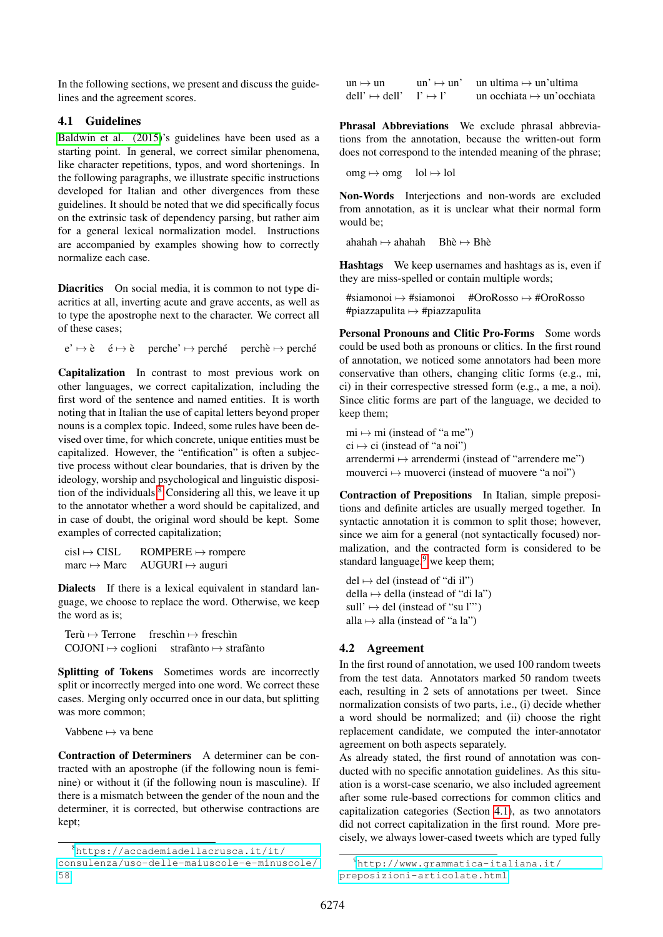In the following sections, we present and discuss the guidelines and the agreement scores.

# <span id="page-2-2"></span>4.1 Guidelines

[Baldwin et al. \(2015\)](#page-4-0)'s guidelines have been used as a starting point. In general, we correct similar phenomena, like character repetitions, typos, and word shortenings. In the following paragraphs, we illustrate specific instructions developed for Italian and other divergences from these guidelines. It should be noted that we did specifically focus on the extrinsic task of dependency parsing, but rather aim for a general lexical normalization model. Instructions are accompanied by examples showing how to correctly normalize each case.

Diacritics On social media, it is common to not type diacritics at all, inverting acute and grave accents, as well as to type the apostrophe next to the character. We correct all of these cases;

 $e' \mapsto \hat{e}$   $\phi \mapsto \hat{e}$  perche'  $\mapsto$  perché perchè  $\mapsto$  perché

Capitalization In contrast to most previous work on other languages, we correct capitalization, including the first word of the sentence and named entities. It is worth noting that in Italian the use of capital letters beyond proper nouns is a complex topic. Indeed, some rules have been devised over time, for which concrete, unique entities must be capitalized. However, the "entification" is often a subjective process without clear boundaries, that is driven by the ideology, worship and psychological and linguistic disposition of the individuals. $8 \text{ Considering all this},$  $8 \text{ Considering all this},$  we leave it up to the annotator whether a word should be capitalized, and in case of doubt, the original word should be kept. Some examples of corrected capitalization;

| $cisI \mapsto CISL$               | $ROMPERE \mapsto$ rompere             |
|-----------------------------------|---------------------------------------|
| $\text{marc} \mapsto \text{Marc}$ | $\text{AUGURI} \mapsto \text{auguri}$ |

Dialects If there is a lexical equivalent in standard language, we choose to replace the word. Otherwise, we keep the word as is;

Terù  $\mapsto$  Terrone freschìn  $\mapsto$  freschìn  $COJONI \rightarrow coglioni$  strafanto  $\rightarrow$  strafanto

Splitting of Tokens Sometimes words are incorrectly split or incorrectly merged into one word. We correct these cases. Merging only occurred once in our data, but splitting was more common;

Vabbene  $\mapsto$  va bene

Contraction of Determiners A determiner can be contracted with an apostrophe (if the following noun is feminine) or without it (if the following noun is masculine). If there is a mismatch between the gender of the noun and the determiner, it is corrected, but otherwise contractions are kept;

| $un \mapsto un$                                           | $un' \mapsto un'$ | un ultima $\mapsto$ un'ultima     |
|-----------------------------------------------------------|-------------------|-----------------------------------|
| $del! \rightarrow del! \rightarrow 1$ ' $\rightarrow 1$ ' |                   | un occhiata $\mapsto$ un'occhiata |

Phrasal Abbreviations We exclude phrasal abbreviations from the annotation, because the written-out form does not correspond to the intended meaning of the phrase;

```
\text{omg} \mapsto \text{omg} lol \mapsto lol
```
Non-Words Interjections and non-words are excluded from annotation, as it is unclear what their normal form would be;

ahahah  $\rightarrow$  ahahah Bhè  $\rightarrow$  Bhè

Hashtags We keep usernames and hashtags as is, even if they are miss-spelled or contain multiple words;

#siamonoi 7→ #siamonoi #OroRosso 7→ #OroRosso #piazzapulita  $\mapsto$  #piazzapulita

Personal Pronouns and Clitic Pro-Forms Some words could be used both as pronouns or clitics. In the first round of annotation, we noticed some annotators had been more conservative than others, changing clitic forms (e.g., mi, ci) in their correspective stressed form (e.g., a me, a noi). Since clitic forms are part of the language, we decided to keep them;

 $mi \mapsto mi$  (instead of "a me")  $ci \mapsto ci$  (instead of "a noi") arrendermi  $\mapsto$  arrendermi (instead of "arrendere me") mouverci  $\mapsto$  muoverci (instead of muovere "a noi")

Contraction of Prepositions In Italian, simple prepositions and definite articles are usually merged together. In syntactic annotation it is common to split those; however, since we aim for a general (not syntactically focused) normalization, and the contracted form is considered to be standard language, $9$  we keep them;

 $del \mapsto del$  (instead of "di il") della  $\mapsto$  della (instead of "di la") sull'  $\mapsto$  del (instead of "su l"') alla  $\mapsto$  alla (instead of "a la")

#### 4.2 Agreement

In the first round of annotation, we used 100 random tweets from the test data. Annotators marked 50 random tweets each, resulting in 2 sets of annotations per tweet. Since normalization consists of two parts, i.e., (i) decide whether a word should be normalized; and (ii) choose the right replacement candidate, we computed the inter-annotator agreement on both aspects separately.

As already stated, the first round of annotation was conducted with no specific annotation guidelines. As this situation is a worst-case scenario, we also included agreement after some rule-based corrections for common clitics and capitalization categories (Section [4.1\)](#page-2-2), as two annotators did not correct capitalization in the first round. More precisely, we always lower-cased tweets which are typed fully

<span id="page-2-0"></span><sup>8</sup>[https://accademiadellacrusca.it/it/](https://accademiadellacrusca.it/it/consulenza/uso-delle-maiuscole-e-minuscole/58) [consulenza/uso-delle-maiuscole-e-minuscole/](https://accademiadellacrusca.it/it/consulenza/uso-delle-maiuscole-e-minuscole/58) [58](https://accademiadellacrusca.it/it/consulenza/uso-delle-maiuscole-e-minuscole/58)

<span id="page-2-1"></span><sup>9</sup>[http://www.grammatica-italiana.it/](http://www.grammatica-italiana.it/preposizioni-articolate.html) [preposizioni-articolate.html](http://www.grammatica-italiana.it/preposizioni-articolate.html)

<sup>6274</sup>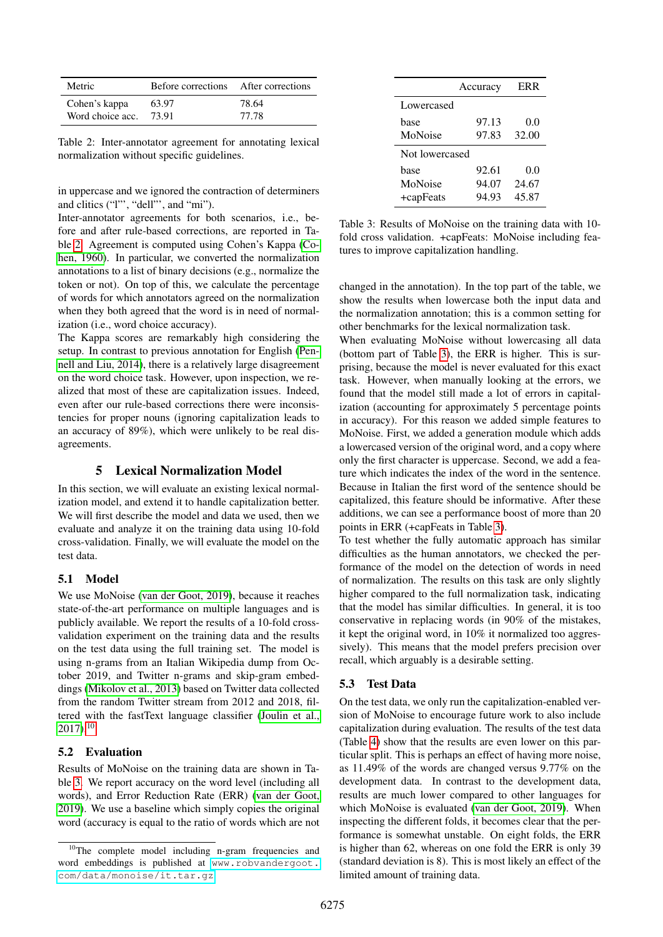| Metric           | Before corrections | After corrections |
|------------------|--------------------|-------------------|
| Cohen's kappa    | 63.97              | 78.64             |
| Word choice acc. | 73.91              | 77.78             |

<span id="page-3-1"></span>Table 2: Inter-annotator agreement for annotating lexical normalization without specific guidelines.

in uppercase and we ignored the contraction of determiners and clitics ("l"', "dell"', and "mi").

Inter-annotator agreements for both scenarios, i.e., before and after rule-based corrections, are reported in Table [2.](#page-3-1) Agreement is computed using Cohen's Kappa [\(Co](#page-5-12)[hen, 1960\)](#page-5-12). In particular, we converted the normalization annotations to a list of binary decisions (e.g., normalize the token or not). On top of this, we calculate the percentage of words for which annotators agreed on the normalization when they both agreed that the word is in need of normalization (i.e., word choice accuracy).

The Kappa scores are remarkably high considering the setup. In contrast to previous annotation for English [\(Pen](#page-5-11)[nell and Liu, 2014\)](#page-5-11), there is a relatively large disagreement on the word choice task. However, upon inspection, we realized that most of these are capitalization issues. Indeed, even after our rule-based corrections there were inconsistencies for proper nouns (ignoring capitalization leads to an accuracy of 89%), which were unlikely to be real disagreements.

# 5 Lexical Normalization Model

<span id="page-3-4"></span>In this section, we will evaluate an existing lexical normalization model, and extend it to handle capitalization better. We will first describe the model and data we used, then we evaluate and analyze it on the training data using 10-fold cross-validation. Finally, we will evaluate the model on the test data.

#### <span id="page-3-0"></span>5.1 Model

We use MoNoise [\(van der Goot, 2019\)](#page-6-6), because it reaches state-of-the-art performance on multiple languages and is publicly available. We report the results of a 10-fold crossvalidation experiment on the training data and the results on the test data using the full training set. The model is using n-grams from an Italian Wikipedia dump from October 2019, and Twitter n-grams and skip-gram embeddings [\(Mikolov et al., 2013\)](#page-5-20) based on Twitter data collected from the random Twitter stream from 2012 and 2018, filtered with the fastText language classifier [\(Joulin et al.,](#page-5-21)  $2017$ ).<sup>[10](#page-3-2)</sup>

#### 5.2 Evaluation

Results of MoNoise on the training data are shown in Table [3.](#page-3-3) We report accuracy on the word level (including all words), and Error Reduction Rate (ERR) [\(van der Goot,](#page-6-6) [2019\)](#page-6-6). We use a baseline which simply copies the original word (accuracy is equal to the ratio of words which are not

|                | Accuracy | <b>ERR</b> |
|----------------|----------|------------|
| Lowercased     |          |            |
| base           | 97.13    | 0.0        |
| MoNoise        | 97.83    | 32.00      |
| Not lowercased |          |            |
| base           | 92.61    | 0.0        |
| MoNoise        | 94.07    | 24.67      |
| +capFeats      | 94.93    | 45.87      |

<span id="page-3-3"></span>Table 3: Results of MoNoise on the training data with 10 fold cross validation. +capFeats: MoNoise including features to improve capitalization handling.

changed in the annotation). In the top part of the table, we show the results when lowercase both the input data and the normalization annotation; this is a common setting for other benchmarks for the lexical normalization task.

When evaluating MoNoise without lowercasing all data (bottom part of Table [3\)](#page-3-3), the ERR is higher. This is surprising, because the model is never evaluated for this exact task. However, when manually looking at the errors, we found that the model still made a lot of errors in capitalization (accounting for approximately 5 percentage points in accuracy). For this reason we added simple features to MoNoise. First, we added a generation module which adds a lowercased version of the original word, and a copy where only the first character is uppercase. Second, we add a feature which indicates the index of the word in the sentence. Because in Italian the first word of the sentence should be capitalized, this feature should be informative. After these additions, we can see a performance boost of more than 20 points in ERR (+capFeats in Table [3\)](#page-3-3).

To test whether the fully automatic approach has similar difficulties as the human annotators, we checked the performance of the model on the detection of words in need of normalization. The results on this task are only slightly higher compared to the full normalization task, indicating that the model has similar difficulties. In general, it is too conservative in replacing words (in 90% of the mistakes, it kept the original word, in 10% it normalized too aggressively). This means that the model prefers precision over recall, which arguably is a desirable setting.

# 5.3 Test Data

On the test data, we only run the capitalization-enabled version of MoNoise to encourage future work to also include capitalization during evaluation. The results of the test data (Table [4\)](#page-4-3) show that the results are even lower on this particular split. This is perhaps an effect of having more noise, as 11.49% of the words are changed versus 9.77% on the development data. In contrast to the development data, results are much lower compared to other languages for which MoNoise is evaluated [\(van der Goot, 2019\)](#page-6-6). When inspecting the different folds, it becomes clear that the performance is somewhat unstable. On eight folds, the ERR is higher than 62, whereas on one fold the ERR is only 39 (standard deviation is 8). This is most likely an effect of the limited amount of training data.

<span id="page-3-2"></span><sup>&</sup>lt;sup>10</sup>The complete model including n-gram frequencies and word embeddings is published at [www.robvandergoot.](www.robvandergoot.com/data/monoise/it.tar.gz) [com/data/monoise/it.tar.gz](www.robvandergoot.com/data/monoise/it.tar.gz)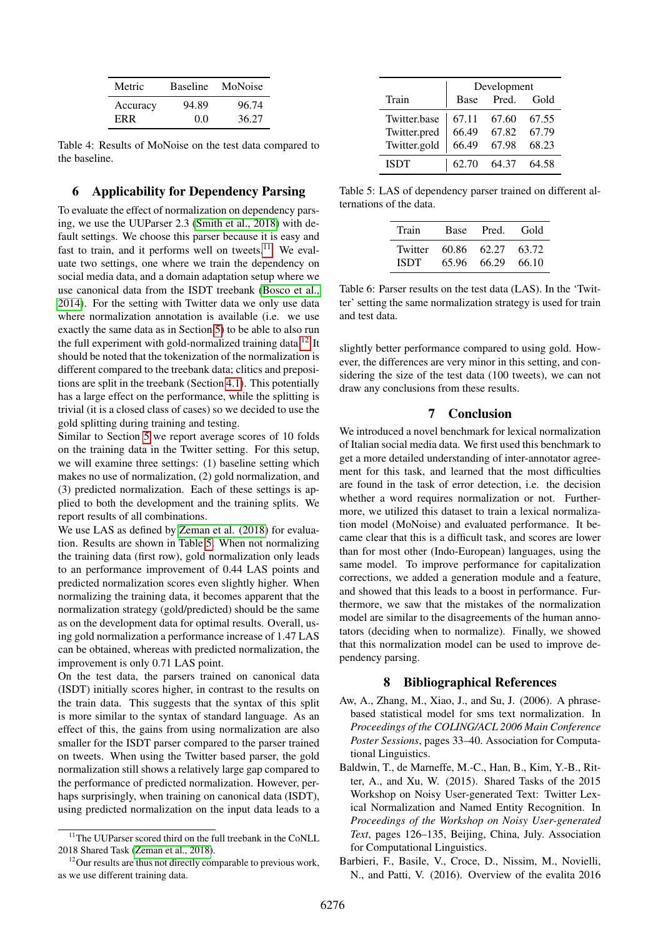| Metric   | <b>Baseline</b> | MoNoise |
|----------|-----------------|---------|
| Accuracy | 94.89           | 96.74   |
| ERR.     | 0.0             | 36.27   |

<span id="page-4-3"></span>Table 4: Results of MoNoise on the test data compared to the baseline.

# 6 Applicability for Dependency Parsing

To evaluate the effect of normalization on dependency parsing, we use the UUParser 2.3 [\(Smith et al., 2018\)](#page-6-10) with default settings. We choose this parser because it is easy and fast to train, and it performs well on tweets. $11$  We evaluate two settings, one where we train the dependency on social media data, and a domain adaptation setup where we use canonical data from the ISDT treebank [\(Bosco et al.,](#page-5-22) [2014\)](#page-5-22). For the setting with Twitter data we only use data where normalization annotation is available (i.e. we use exactly the same data as in Section [5\)](#page-3-4) to be able to also run the full experiment with gold-normalized training data.<sup>[12](#page-4-5)</sup> It should be noted that the tokenization of the normalization is different compared to the treebank data; clitics and prepositions are split in the treebank (Section [4.1\)](#page-2-2). This potentially has a large effect on the performance, while the splitting is trivial (it is a closed class of cases) so we decided to use the gold splitting during training and testing.

Similar to Section [5](#page-3-4) we report average scores of 10 folds on the training data in the Twitter setting. For this setup, we will examine three settings: (1) baseline setting which makes no use of normalization, (2) gold normalization, and (3) predicted normalization. Each of these settings is applied to both the development and the training splits. We report results of all combinations.

We use LAS as defined by Zeman et al.  $(2018)$  for evaluation. Results are shown in Table [5.](#page-4-6) When not normalizing the training data (first row), gold normalization only leads to an performance improvement of 0.44 LAS points and predicted normalization scores even slightly higher. When normalizing the training data, it becomes apparent that the normalization strategy (gold/predicted) should be the same as on the development data for optimal results. Overall, using gold normalization a performance increase of 1.47 LAS can be obtained, whereas with predicted normalization, the improvement is only 0.71 LAS point.

On the test data, the parsers trained on canonical data (ISDT) initially scores higher, in contrast to the results on the train data. This suggests that the syntax of this split is more similar to the syntax of standard language. As an effect of this, the gains from using normalization are also smaller for the ISDT parser compared to the parser trained on tweets. When using the Twitter based parser, the gold normalization still shows a relatively large gap compared to the performance of predicted normalization. However, perhaps surprisingly, when training on canonical data (ISDT), using predicted normalization on the input data leads to a

|              | Development |       |       |
|--------------|-------------|-------|-------|
| Train        | Base        | Pred. | Gold  |
| Twitter.base | 67.11       | 67.60 | 67.55 |
| Twitter.pred | 66.49       | 67.82 | 67.79 |
| Twitter.gold | 66.49       | 67.98 | 68.23 |
| <b>ISDT</b>  | 62.70       | 64.37 | 64.58 |

Table 5: LAS of dependency parser trained on different alternations of the data.

<span id="page-4-6"></span>

| Train       | Base  | Pred. | - Gold |
|-------------|-------|-------|--------|
| Twitter     | 60.86 | 62.27 | 63.72  |
| <b>ISDT</b> | 65.96 | 66.29 | -66.10 |

Table 6: Parser results on the test data (LAS). In the 'Twitter' setting the same normalization strategy is used for train and test data.

slightly better performance compared to using gold. However, the differences are very minor in this setting, and considering the size of the test data (100 tweets), we can not draw any conclusions from these results.

# 7 Conclusion

We introduced a novel benchmark for lexical normalization of Italian social media data. We first used this benchmark to get a more detailed understanding of inter-annotator agreement for this task, and learned that the most difficulties are found in the task of error detection, i.e. the decision whether a word requires normalization or not. Furthermore, we utilized this dataset to train a lexical normalization model (MoNoise) and evaluated performance. It became clear that this is a difficult task, and scores are lower than for most other (Indo-European) languages, using the same model. To improve performance for capitalization corrections, we added a generation module and a feature, and showed that this leads to a boost in performance. Furthermore, we saw that the mistakes of the normalization model are similar to the disagreements of the human annotators (deciding when to normalize). Finally, we showed that this normalization model can be used to improve dependency parsing.

# 8 Bibliographical References

- <span id="page-4-1"></span>Aw, A., Zhang, M., Xiao, J., and Su, J. (2006). A phrasebased statistical model for sms text normalization. In *Proceedings of the COLING/ACL 2006 Main Conference Poster Sessions*, pages 33–40. Association for Computational Linguistics.
- <span id="page-4-0"></span>Baldwin, T., de Marneffe, M.-C., Han, B., Kim, Y.-B., Ritter, A., and Xu, W. (2015). Shared Tasks of the 2015 Workshop on Noisy User-generated Text: Twitter Lexical Normalization and Named Entity Recognition. In *Proceedings of the Workshop on Noisy User-generated Text*, pages 126–135, Beijing, China, July. Association for Computational Linguistics.
- <span id="page-4-2"></span>Barbieri, F., Basile, V., Croce, D., Nissim, M., Novielli, N., and Patti, V. (2016). Overview of the evalita 2016

<span id="page-4-4"></span><sup>&</sup>lt;sup>11</sup>The UUParser scored third on the full treebank in the CoNLL 2018 Shared Task [\(Zeman et al., 2018\)](#page-6-11).

<span id="page-4-5"></span> $12$ Our results are thus not directly comparable to previous work, as we use different training data.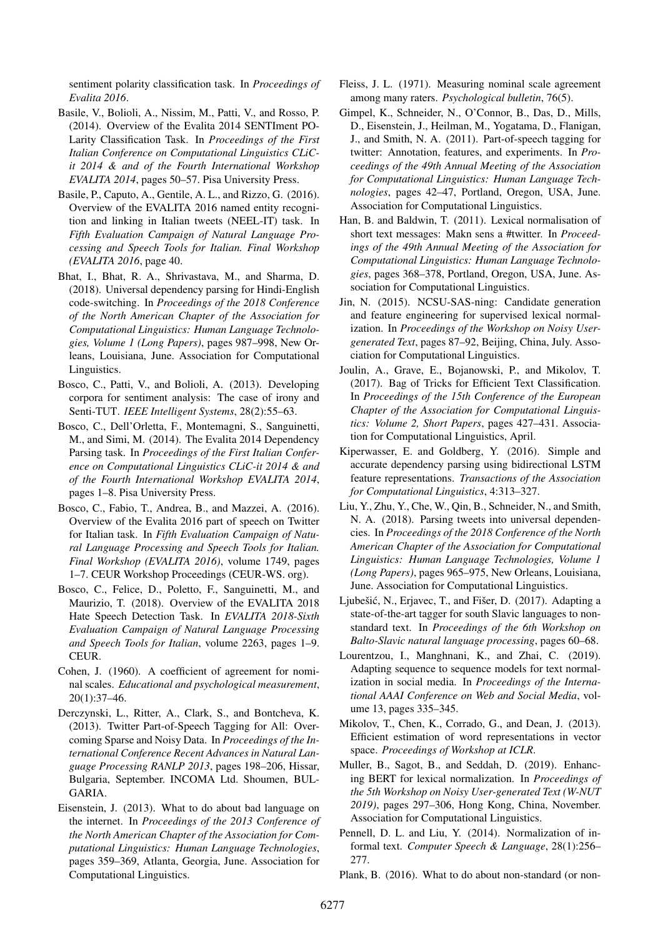sentiment polarity classification task. In *Proceedings of Evalita 2016*.

- <span id="page-5-18"></span>Basile, V., Bolioli, A., Nissim, M., Patti, V., and Rosso, P. (2014). Overview of the Evalita 2014 SENTIment PO-Larity Classification Task. In *Proceedings of the First Italian Conference on Computational Linguistics CLiCit 2014 & and of the Fourth International Workshop EVALITA 2014*, pages 50–57. Pisa University Press.
- <span id="page-5-8"></span>Basile, P., Caputo, A., Gentile, A. L., and Rizzo, G. (2016). Overview of the EVALITA 2016 named entity recognition and linking in Italian tweets (NEEL-IT) task. In *Fifth Evaluation Campaign of Natural Language Processing and Speech Tools for Italian. Final Workshop (EVALITA 2016*, page 40.
- <span id="page-5-6"></span>Bhat, I., Bhat, R. A., Shrivastava, M., and Sharma, D. (2018). Universal dependency parsing for Hindi-English code-switching. In *Proceedings of the 2018 Conference of the North American Chapter of the Association for Computational Linguistics: Human Language Technologies, Volume 1 (Long Papers)*, pages 987–998, New Orleans, Louisiana, June. Association for Computational Linguistics.
- <span id="page-5-19"></span>Bosco, C., Patti, V., and Bolioli, A. (2013). Developing corpora for sentiment analysis: The case of irony and Senti-TUT. *IEEE Intelligent Systems*, 28(2):55–63.
- <span id="page-5-22"></span>Bosco, C., Dell'Orletta, F., Montemagni, S., Sanguinetti, M., and Simi, M. (2014). The Evalita 2014 Dependency Parsing task. In *Proceedings of the First Italian Conference on Computational Linguistics CLiC-it 2014 & and of the Fourth International Workshop EVALITA 2014*, pages 1–8. Pisa University Press.
- <span id="page-5-7"></span>Bosco, C., Fabio, T., Andrea, B., and Mazzei, A. (2016). Overview of the Evalita 2016 part of speech on Twitter for Italian task. In *Fifth Evaluation Campaign of Natural Language Processing and Speech Tools for Italian. Final Workshop (EVALITA 2016)*, volume 1749, pages 1–7. CEUR Workshop Proceedings (CEUR-WS. org).
- <span id="page-5-9"></span>Bosco, C., Felice, D., Poletto, F., Sanguinetti, M., and Maurizio, T. (2018). Overview of the EVALITA 2018 Hate Speech Detection Task. In *EVALITA 2018-Sixth Evaluation Campaign of Natural Language Processing and Speech Tools for Italian*, volume 2263, pages 1–9. CEUR.
- <span id="page-5-12"></span>Cohen, J. (1960). A coefficient of agreement for nominal scales. *Educational and psychological measurement*, 20(1):37–46.
- <span id="page-5-5"></span>Derczynski, L., Ritter, A., Clark, S., and Bontcheva, K. (2013). Twitter Part-of-Speech Tagging for All: Overcoming Sparse and Noisy Data. In *Proceedings of the International Conference Recent Advances in Natural Language Processing RANLP 2013*, pages 198–206, Hissar, Bulgaria, September. INCOMA Ltd. Shoumen, BUL-GARIA.
- <span id="page-5-0"></span>Eisenstein, J. (2013). What to do about bad language on the internet. In *Proceedings of the 2013 Conference of the North American Chapter of the Association for Computational Linguistics: Human Language Technologies*, pages 359–369, Atlanta, Georgia, June. Association for Computational Linguistics.
- <span id="page-5-13"></span>Fleiss, J. L. (1971). Measuring nominal scale agreement among many raters. *Psychological bulletin*, 76(5).
- <span id="page-5-2"></span>Gimpel, K., Schneider, N., O'Connor, B., Das, D., Mills, D., Eisenstein, J., Heilman, M., Yogatama, D., Flanigan, J., and Smith, N. A. (2011). Part-of-speech tagging for twitter: Annotation, features, and experiments. In *Proceedings of the 49th Annual Meeting of the Association for Computational Linguistics: Human Language Technologies*, pages 42–47, Portland, Oregon, USA, June. Association for Computational Linguistics.
- <span id="page-5-14"></span>Han, B. and Baldwin, T. (2011). Lexical normalisation of short text messages: Makn sens a #twitter. In *Proceedings of the 49th Annual Meeting of the Association for Computational Linguistics: Human Language Technologies*, pages 368–378, Portland, Oregon, USA, June. Association for Computational Linguistics.
- <span id="page-5-15"></span>Jin, N. (2015). NCSU-SAS-ning: Candidate generation and feature engineering for supervised lexical normalization. In *Proceedings of the Workshop on Noisy Usergenerated Text*, pages 87–92, Beijing, China, July. Association for Computational Linguistics.
- <span id="page-5-21"></span>Joulin, A., Grave, E., Bojanowski, P., and Mikolov, T. (2017). Bag of Tricks for Efficient Text Classification. In *Proceedings of the 15th Conference of the European Chapter of the Association for Computational Linguistics: Volume 2, Short Papers*, pages 427–431. Association for Computational Linguistics, April.
- <span id="page-5-3"></span>Kiperwasser, E. and Goldberg, Y. (2016). Simple and accurate dependency parsing using bidirectional LSTM feature representations. *Transactions of the Association for Computational Linguistics*, 4:313–327.
- <span id="page-5-4"></span>Liu, Y., Zhu, Y., Che, W., Qin, B., Schneider, N., and Smith, N. A. (2018). Parsing tweets into universal dependencies. In *Proceedings of the 2018 Conference of the North American Chapter of the Association for Computational Linguistics: Human Language Technologies, Volume 1 (Long Papers)*, pages 965–975, New Orleans, Louisiana, June. Association for Computational Linguistics.
- <span id="page-5-10"></span>Ljubešić, N., Erjavec, T., and Fišer, D. (2017). Adapting a state-of-the-art tagger for south Slavic languages to nonstandard text. In *Proceedings of the 6th Workshop on Balto-Slavic natural language processing*, pages 60–68.
- <span id="page-5-16"></span>Lourentzou, I., Manghnani, K., and Zhai, C. (2019). Adapting sequence to sequence models for text normalization in social media. In *Proceedings of the International AAAI Conference on Web and Social Media*, volume 13, pages 335–345.
- <span id="page-5-20"></span>Mikolov, T., Chen, K., Corrado, G., and Dean, J. (2013). Efficient estimation of word representations in vector space. *Proceedings of Workshop at ICLR*.
- <span id="page-5-17"></span>Muller, B., Sagot, B., and Seddah, D. (2019). Enhancing BERT for lexical normalization. In *Proceedings of the 5th Workshop on Noisy User-generated Text (W-NUT 2019)*, pages 297–306, Hong Kong, China, November. Association for Computational Linguistics.
- <span id="page-5-11"></span>Pennell, D. L. and Liu, Y. (2014). Normalization of informal text. *Computer Speech & Language*, 28(1):256– 277.
- <span id="page-5-1"></span>Plank, B. (2016). What to do about non-standard (or non-